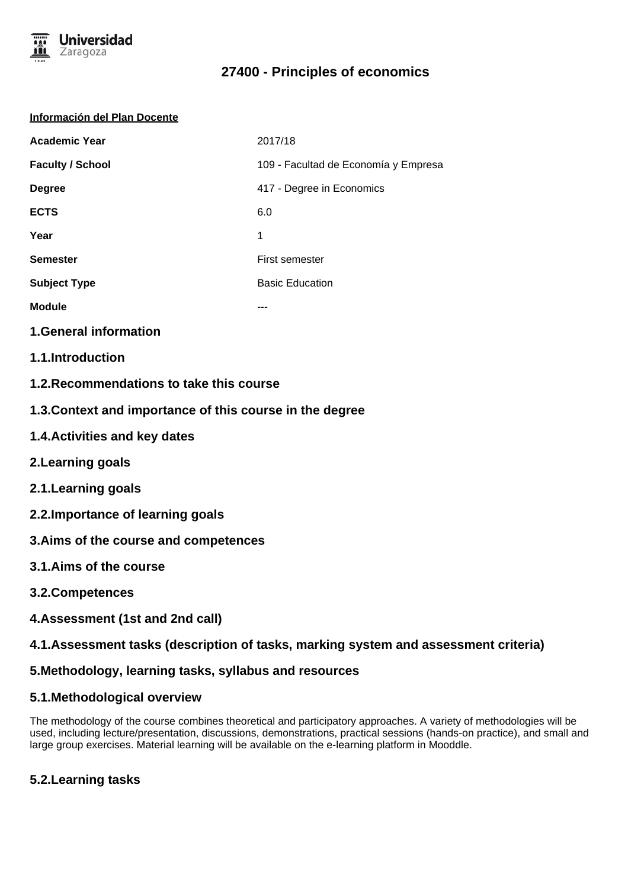

# **27400 - Principles of economics**

#### **Información del Plan Docente**

| <b>Academic Year</b>    | 2017/18                              |
|-------------------------|--------------------------------------|
| <b>Faculty / School</b> | 109 - Facultad de Economía y Empresa |
| <b>Degree</b>           | 417 - Degree in Economics            |
| <b>ECTS</b>             | 6.0                                  |
| Year                    | 1                                    |
| <b>Semester</b>         | <b>First semester</b>                |
| <b>Subject Type</b>     | <b>Basic Education</b>               |
| <b>Module</b>           | ---                                  |
|                         |                                      |

### **1.General information**

- **1.1.Introduction**
- **1.2.Recommendations to take this course**
- **1.3.Context and importance of this course in the degree**
- **1.4.Activities and key dates**
- **2.Learning goals**
- **2.1.Learning goals**
- **2.2.Importance of learning goals**
- **3.Aims of the course and competences**
- **3.1.Aims of the course**
- **3.2.Competences**
- **4.Assessment (1st and 2nd call)**

## **4.1.Assessment tasks (description of tasks, marking system and assessment criteria)**

### **5.Methodology, learning tasks, syllabus and resources**

### **5.1.Methodological overview**

The methodology of the course combines theoretical and participatory approaches. A variety of methodologies will be used, including lecture/presentation, discussions, demonstrations, practical sessions (hands-on practice), and small and large group exercises. Material learning will be available on the e-learning platform in Mooddle.

## **5.2.Learning tasks**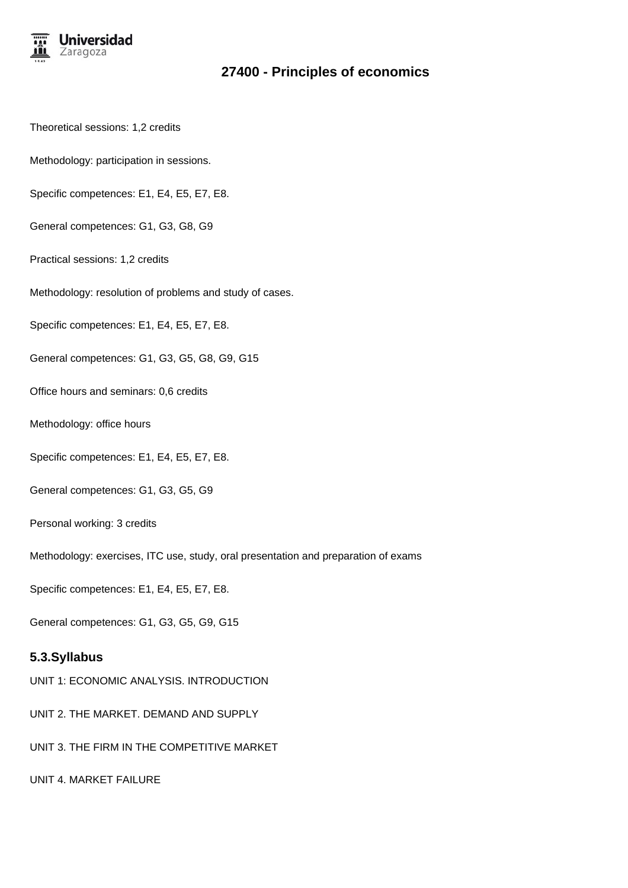

## **27400 - Principles of economics**

- Theoretical sessions: 1,2 credits
- Methodology: participation in sessions.
- Specific competences: E1, E4, E5, E7, E8.
- General competences: G1, G3, G8, G9
- Practical sessions: 1,2 credits
- Methodology: resolution of problems and study of cases.
- Specific competences: E1, E4, E5, E7, E8.
- General competences: G1, G3, G5, G8, G9, G15
- Office hours and seminars: 0,6 credits
- Methodology: office hours
- Specific competences: E1, E4, E5, E7, E8.
- General competences: G1, G3, G5, G9
- Personal working: 3 credits
- Methodology: exercises, ITC use, study, oral presentation and preparation of exams
- Specific competences: E1, E4, E5, E7, E8.
- General competences: G1, G3, G5, G9, G15

# **5.3.Syllabus**

- UNIT 1: ECONOMIC ANALYSIS. INTRODUCTION
- UNIT 2. THE MARKET. DEMAND AND SUPPLY
- UNIT 3. THE FIRM IN THE COMPETITIVE MARKET
- UNIT 4. MARKET FAILURE